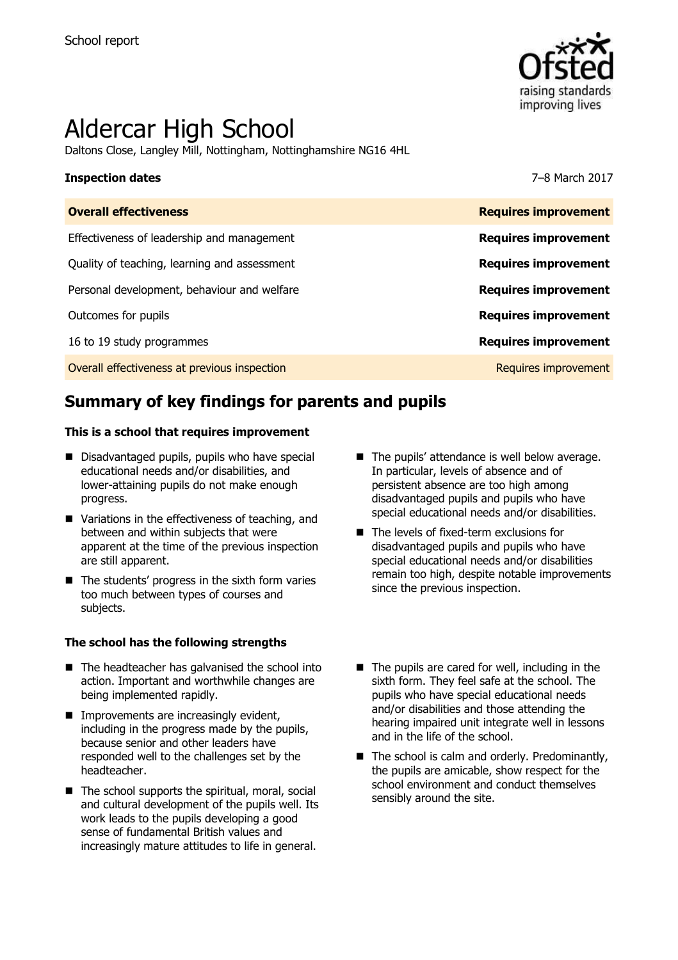

# Aldercar High School

Daltons Close, Langley Mill, Nottingham, Nottinghamshire NG16 4HL

### **Inspection dates** 7–8 March 2017

| <b>Overall effectiveness</b>                 | <b>Requires improvement</b> |
|----------------------------------------------|-----------------------------|
| Effectiveness of leadership and management   | <b>Requires improvement</b> |
| Quality of teaching, learning and assessment | <b>Requires improvement</b> |
| Personal development, behaviour and welfare  | <b>Requires improvement</b> |
| Outcomes for pupils                          | <b>Requires improvement</b> |
| 16 to 19 study programmes                    | <b>Requires improvement</b> |
| Overall effectiveness at previous inspection | Requires improvement        |

# **Summary of key findings for parents and pupils**

### **This is a school that requires improvement**

- Disadvantaged pupils, pupils who have special educational needs and/or disabilities, and lower-attaining pupils do not make enough progress.
- Variations in the effectiveness of teaching, and between and within subjects that were apparent at the time of the previous inspection are still apparent.
- $\blacksquare$  The students' progress in the sixth form varies too much between types of courses and subjects.

### **The school has the following strengths**

- $\blacksquare$  The headteacher has galvanised the school into action. Important and worthwhile changes are being implemented rapidly.
- **Improvements are increasingly evident,** including in the progress made by the pupils, because senior and other leaders have responded well to the challenges set by the headteacher.
- $\blacksquare$  The school supports the spiritual, moral, social and cultural development of the pupils well. Its work leads to the pupils developing a good sense of fundamental British values and increasingly mature attitudes to life in general.
- The pupils' attendance is well below average. In particular, levels of absence and of persistent absence are too high among disadvantaged pupils and pupils who have special educational needs and/or disabilities.
- The levels of fixed-term exclusions for disadvantaged pupils and pupils who have special educational needs and/or disabilities remain too high, despite notable improvements since the previous inspection.
- $\blacksquare$  The pupils are cared for well, including in the sixth form. They feel safe at the school. The pupils who have special educational needs and/or disabilities and those attending the hearing impaired unit integrate well in lessons and in the life of the school.
- $\blacksquare$  The school is calm and orderly. Predominantly, the pupils are amicable, show respect for the school environment and conduct themselves sensibly around the site.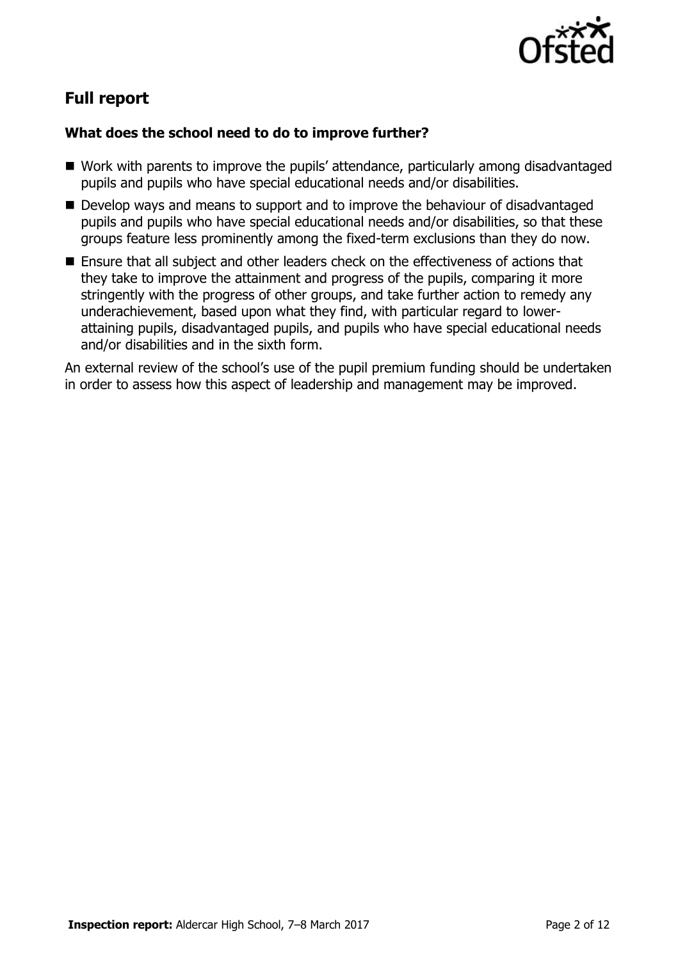

# **Full report**

### **What does the school need to do to improve further?**

- Work with parents to improve the pupils' attendance, particularly among disadvantaged pupils and pupils who have special educational needs and/or disabilities.
- Develop ways and means to support and to improve the behaviour of disadvantaged pupils and pupils who have special educational needs and/or disabilities, so that these groups feature less prominently among the fixed-term exclusions than they do now.
- Ensure that all subject and other leaders check on the effectiveness of actions that they take to improve the attainment and progress of the pupils, comparing it more stringently with the progress of other groups, and take further action to remedy any underachievement, based upon what they find, with particular regard to lowerattaining pupils, disadvantaged pupils, and pupils who have special educational needs and/or disabilities and in the sixth form.

An external review of the school's use of the pupil premium funding should be undertaken in order to assess how this aspect of leadership and management may be improved.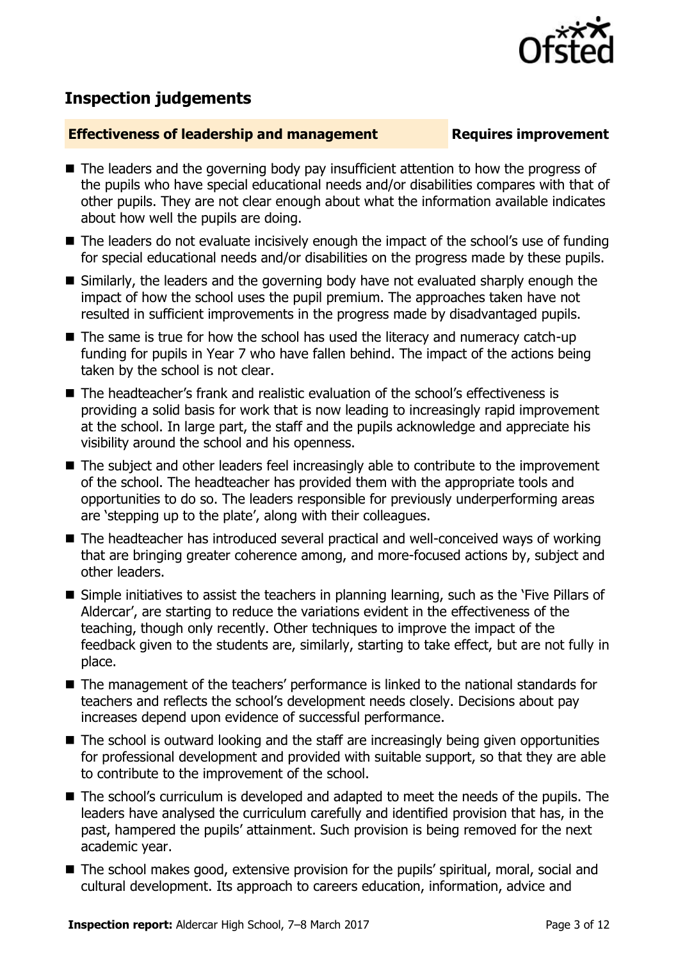

# **Inspection judgements**

### **Effectiveness of leadership and management Requires improvement**

- The leaders and the governing body pay insufficient attention to how the progress of the pupils who have special educational needs and/or disabilities compares with that of other pupils. They are not clear enough about what the information available indicates about how well the pupils are doing.
- The leaders do not evaluate incisively enough the impact of the school's use of funding for special educational needs and/or disabilities on the progress made by these pupils.
- Similarly, the leaders and the governing body have not evaluated sharply enough the impact of how the school uses the pupil premium. The approaches taken have not resulted in sufficient improvements in the progress made by disadvantaged pupils.
- The same is true for how the school has used the literacy and numeracy catch-up funding for pupils in Year 7 who have fallen behind. The impact of the actions being taken by the school is not clear.
- The headteacher's frank and realistic evaluation of the school's effectiveness is providing a solid basis for work that is now leading to increasingly rapid improvement at the school. In large part, the staff and the pupils acknowledge and appreciate his visibility around the school and his openness.
- The subject and other leaders feel increasingly able to contribute to the improvement of the school. The headteacher has provided them with the appropriate tools and opportunities to do so. The leaders responsible for previously underperforming areas are 'stepping up to the plate', along with their colleagues.
- The headteacher has introduced several practical and well-conceived ways of working that are bringing greater coherence among, and more-focused actions by, subject and other leaders.
- Simple initiatives to assist the teachers in planning learning, such as the 'Five Pillars of Aldercar', are starting to reduce the variations evident in the effectiveness of the teaching, though only recently. Other techniques to improve the impact of the feedback given to the students are, similarly, starting to take effect, but are not fully in place.
- The management of the teachers' performance is linked to the national standards for teachers and reflects the school's development needs closely. Decisions about pay increases depend upon evidence of successful performance.
- The school is outward looking and the staff are increasingly being given opportunities for professional development and provided with suitable support, so that they are able to contribute to the improvement of the school.
- The school's curriculum is developed and adapted to meet the needs of the pupils. The leaders have analysed the curriculum carefully and identified provision that has, in the past, hampered the pupils' attainment. Such provision is being removed for the next academic year.
- The school makes good, extensive provision for the pupils' spiritual, moral, social and cultural development. Its approach to careers education, information, advice and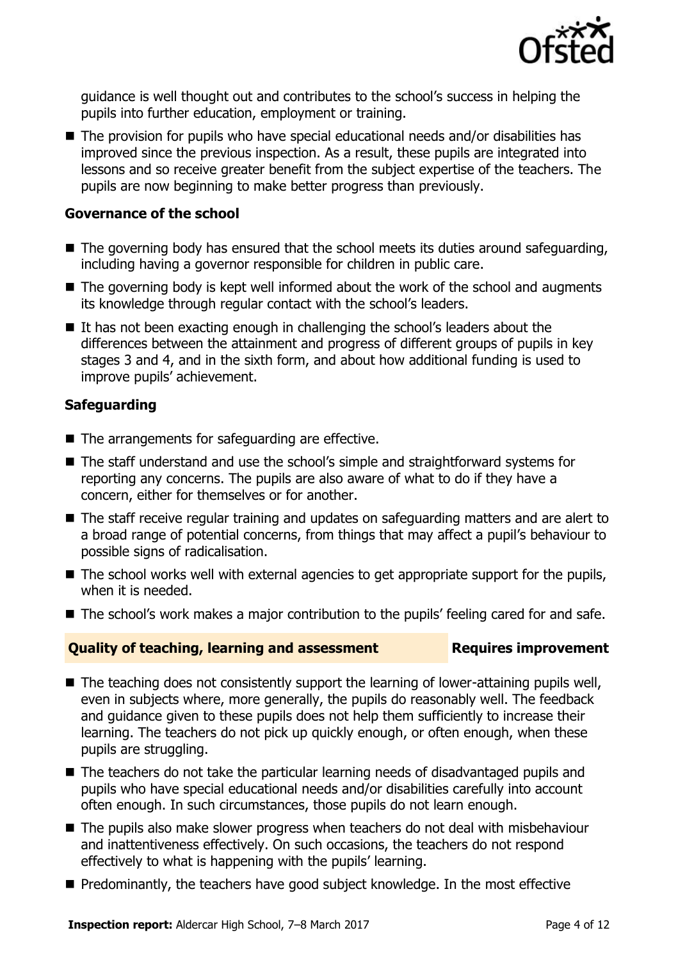

guidance is well thought out and contributes to the school's success in helping the pupils into further education, employment or training.

■ The provision for pupils who have special educational needs and/or disabilities has improved since the previous inspection. As a result, these pupils are integrated into lessons and so receive greater benefit from the subject expertise of the teachers. The pupils are now beginning to make better progress than previously.

### **Governance of the school**

- The governing body has ensured that the school meets its duties around safeguarding, including having a governor responsible for children in public care.
- $\blacksquare$  The governing body is kept well informed about the work of the school and augments its knowledge through regular contact with the school's leaders.
- If has not been exacting enough in challenging the school's leaders about the differences between the attainment and progress of different groups of pupils in key stages 3 and 4, and in the sixth form, and about how additional funding is used to improve pupils' achievement.

### **Safeguarding**

- The arrangements for safeguarding are effective.
- The staff understand and use the school's simple and straightforward systems for reporting any concerns. The pupils are also aware of what to do if they have a concern, either for themselves or for another.
- The staff receive regular training and updates on safeguarding matters and are alert to a broad range of potential concerns, from things that may affect a pupil's behaviour to possible signs of radicalisation.
- The school works well with external agencies to get appropriate support for the pupils, when it is needed.
- The school's work makes a major contribution to the pupils' feeling cared for and safe.

### **Quality of teaching, learning and assessment Requires improvement**

- The teaching does not consistently support the learning of lower-attaining pupils well, even in subjects where, more generally, the pupils do reasonably well. The feedback and guidance given to these pupils does not help them sufficiently to increase their learning. The teachers do not pick up quickly enough, or often enough, when these pupils are struggling.
- The teachers do not take the particular learning needs of disadvantaged pupils and pupils who have special educational needs and/or disabilities carefully into account often enough. In such circumstances, those pupils do not learn enough.
- The pupils also make slower progress when teachers do not deal with misbehaviour and inattentiveness effectively. On such occasions, the teachers do not respond effectively to what is happening with the pupils' learning.
- Predominantly, the teachers have good subject knowledge. In the most effective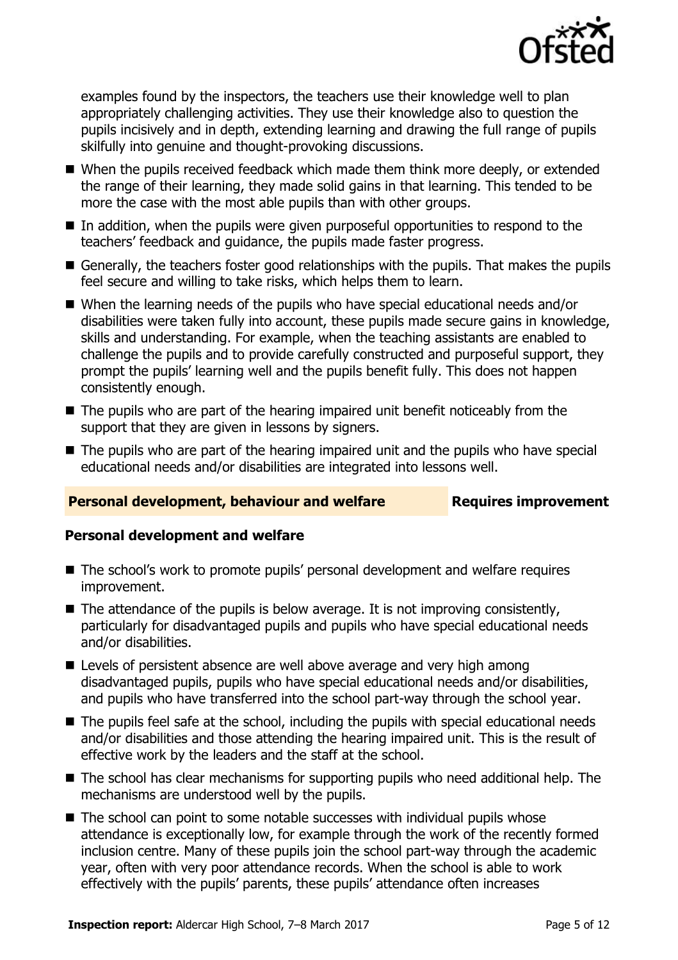

examples found by the inspectors, the teachers use their knowledge well to plan appropriately challenging activities. They use their knowledge also to question the pupils incisively and in depth, extending learning and drawing the full range of pupils skilfully into genuine and thought-provoking discussions.

- When the pupils received feedback which made them think more deeply, or extended the range of their learning, they made solid gains in that learning. This tended to be more the case with the most able pupils than with other groups.
- In addition, when the pupils were given purposeful opportunities to respond to the teachers' feedback and guidance, the pupils made faster progress.
- Generally, the teachers foster good relationships with the pupils. That makes the pupils feel secure and willing to take risks, which helps them to learn.
- When the learning needs of the pupils who have special educational needs and/or disabilities were taken fully into account, these pupils made secure gains in knowledge, skills and understanding. For example, when the teaching assistants are enabled to challenge the pupils and to provide carefully constructed and purposeful support, they prompt the pupils' learning well and the pupils benefit fully. This does not happen consistently enough.
- $\blacksquare$  The pupils who are part of the hearing impaired unit benefit noticeably from the support that they are given in lessons by signers.
- The pupils who are part of the hearing impaired unit and the pupils who have special educational needs and/or disabilities are integrated into lessons well.

### **Personal development, behaviour and welfare <b>Requires improvement**

### **Personal development and welfare**

- The school's work to promote pupils' personal development and welfare requires improvement.
- $\blacksquare$  The attendance of the pupils is below average. It is not improving consistently, particularly for disadvantaged pupils and pupils who have special educational needs and/or disabilities.
- **E** Levels of persistent absence are well above average and very high among disadvantaged pupils, pupils who have special educational needs and/or disabilities, and pupils who have transferred into the school part-way through the school year.
- The pupils feel safe at the school, including the pupils with special educational needs and/or disabilities and those attending the hearing impaired unit. This is the result of effective work by the leaders and the staff at the school.
- The school has clear mechanisms for supporting pupils who need additional help. The mechanisms are understood well by the pupils.
- The school can point to some notable successes with individual pupils whose attendance is exceptionally low, for example through the work of the recently formed inclusion centre. Many of these pupils join the school part-way through the academic year, often with very poor attendance records. When the school is able to work effectively with the pupils' parents, these pupils' attendance often increases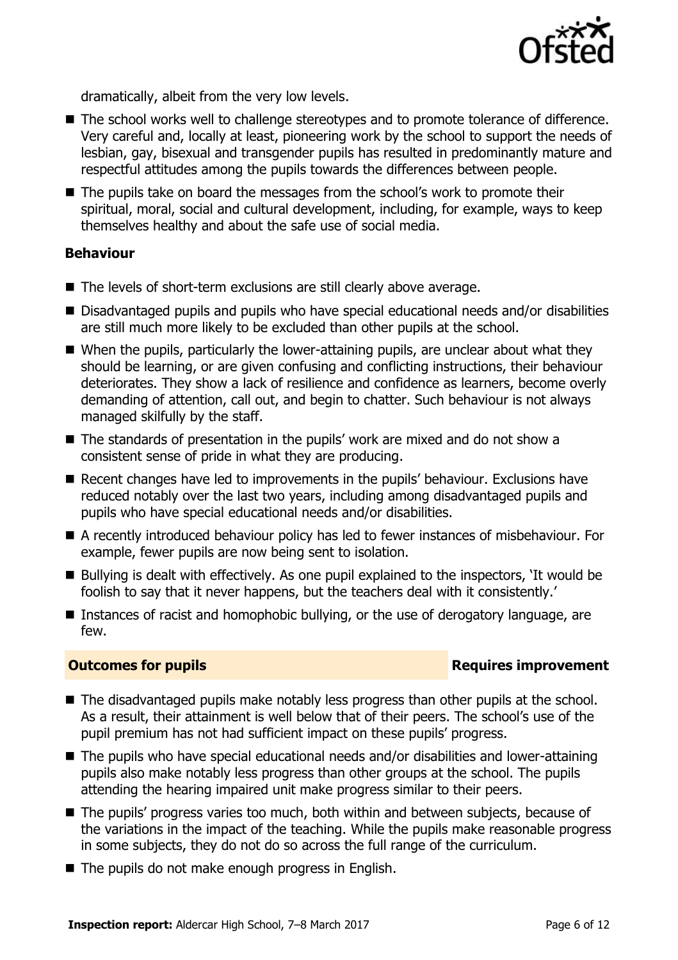

dramatically, albeit from the very low levels.

- The school works well to challenge stereotypes and to promote tolerance of difference. Very careful and, locally at least, pioneering work by the school to support the needs of lesbian, gay, bisexual and transgender pupils has resulted in predominantly mature and respectful attitudes among the pupils towards the differences between people.
- The pupils take on board the messages from the school's work to promote their spiritual, moral, social and cultural development, including, for example, ways to keep themselves healthy and about the safe use of social media.

### **Behaviour**

- The levels of short-term exclusions are still clearly above average.
- Disadvantaged pupils and pupils who have special educational needs and/or disabilities are still much more likely to be excluded than other pupils at the school.
- When the pupils, particularly the lower-attaining pupils, are unclear about what they should be learning, or are given confusing and conflicting instructions, their behaviour deteriorates. They show a lack of resilience and confidence as learners, become overly demanding of attention, call out, and begin to chatter. Such behaviour is not always managed skilfully by the staff.
- The standards of presentation in the pupils' work are mixed and do not show a consistent sense of pride in what they are producing.
- Recent changes have led to improvements in the pupils' behaviour. Exclusions have reduced notably over the last two years, including among disadvantaged pupils and pupils who have special educational needs and/or disabilities.
- A recently introduced behaviour policy has led to fewer instances of misbehaviour. For example, fewer pupils are now being sent to isolation.
- $\blacksquare$  Bullying is dealt with effectively. As one pupil explained to the inspectors, 'It would be foolish to say that it never happens, but the teachers deal with it consistently.'
- Instances of racist and homophobic bullying, or the use of derogatory language, are few.

### **Outcomes for pupils Requires improvement**

- The disadvantaged pupils make notably less progress than other pupils at the school. As a result, their attainment is well below that of their peers. The school's use of the pupil premium has not had sufficient impact on these pupils' progress.
- The pupils who have special educational needs and/or disabilities and lower-attaining pupils also make notably less progress than other groups at the school. The pupils attending the hearing impaired unit make progress similar to their peers.
- The pupils' progress varies too much, both within and between subjects, because of the variations in the impact of the teaching. While the pupils make reasonable progress in some subjects, they do not do so across the full range of the curriculum.
- $\blacksquare$  The pupils do not make enough progress in English.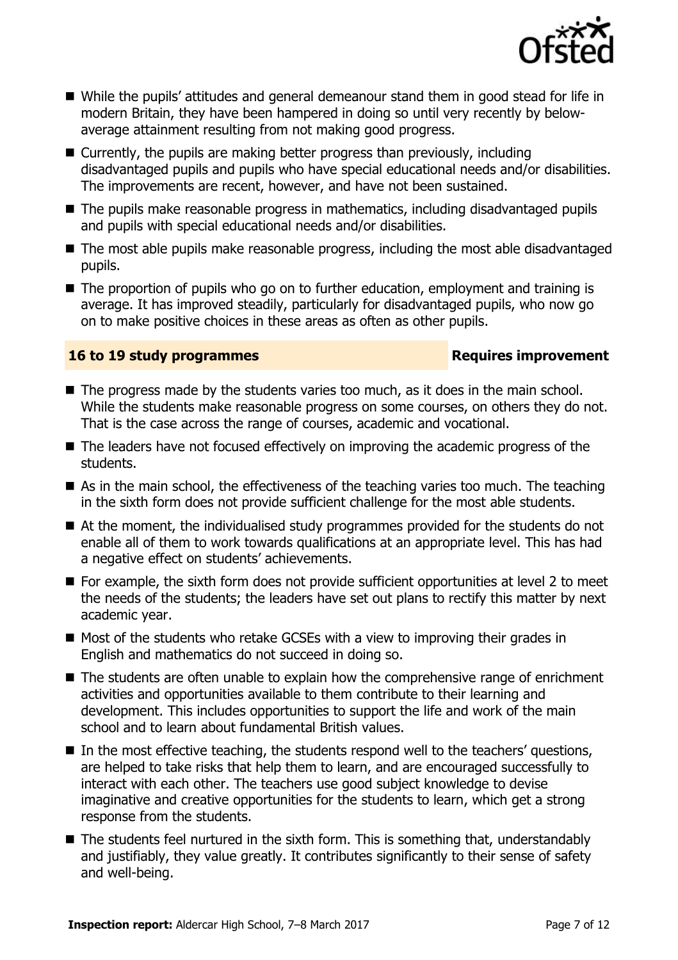

- While the pupils' attitudes and general demeanour stand them in good stead for life in modern Britain, they have been hampered in doing so until very recently by belowaverage attainment resulting from not making good progress.
- Currently, the pupils are making better progress than previously, including disadvantaged pupils and pupils who have special educational needs and/or disabilities. The improvements are recent, however, and have not been sustained.
- The pupils make reasonable progress in mathematics, including disadvantaged pupils and pupils with special educational needs and/or disabilities.
- The most able pupils make reasonable progress, including the most able disadvantaged pupils.
- The proportion of pupils who go on to further education, employment and training is average. It has improved steadily, particularly for disadvantaged pupils, who now go on to make positive choices in these areas as often as other pupils.

### **16 to 19 study programmes Requires improvement**

- The progress made by the students varies too much, as it does in the main school. While the students make reasonable progress on some courses, on others they do not. That is the case across the range of courses, academic and vocational.
- The leaders have not focused effectively on improving the academic progress of the students.
- As in the main school, the effectiveness of the teaching varies too much. The teaching in the sixth form does not provide sufficient challenge for the most able students.
- At the moment, the individualised study programmes provided for the students do not enable all of them to work towards qualifications at an appropriate level. This has had a negative effect on students' achievements.
- For example, the sixth form does not provide sufficient opportunities at level 2 to meet the needs of the students; the leaders have set out plans to rectify this matter by next academic year.
- $\blacksquare$  Most of the students who retake GCSEs with a view to improving their grades in English and mathematics do not succeed in doing so.
- The students are often unable to explain how the comprehensive range of enrichment activities and opportunities available to them contribute to their learning and development. This includes opportunities to support the life and work of the main school and to learn about fundamental British values.
- $\blacksquare$  In the most effective teaching, the students respond well to the teachers' questions, are helped to take risks that help them to learn, and are encouraged successfully to interact with each other. The teachers use good subject knowledge to devise imaginative and creative opportunities for the students to learn, which get a strong response from the students.
- The students feel nurtured in the sixth form. This is something that, understandably and justifiably, they value greatly. It contributes significantly to their sense of safety and well-being.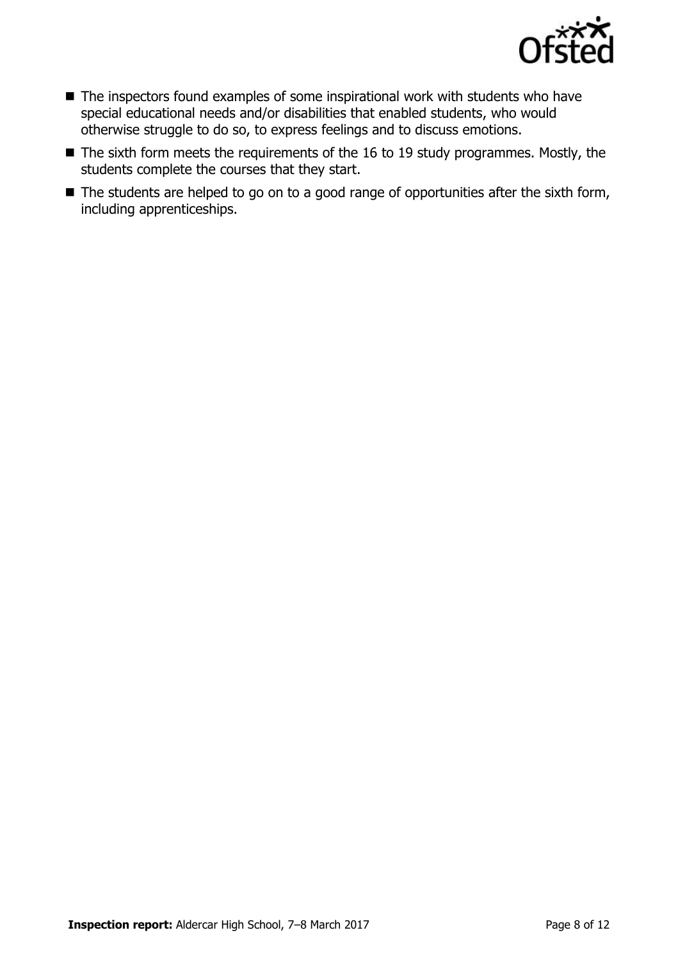

- The inspectors found examples of some inspirational work with students who have special educational needs and/or disabilities that enabled students, who would otherwise struggle to do so, to express feelings and to discuss emotions.
- The sixth form meets the requirements of the 16 to 19 study programmes. Mostly, the students complete the courses that they start.
- The students are helped to go on to a good range of opportunities after the sixth form, including apprenticeships.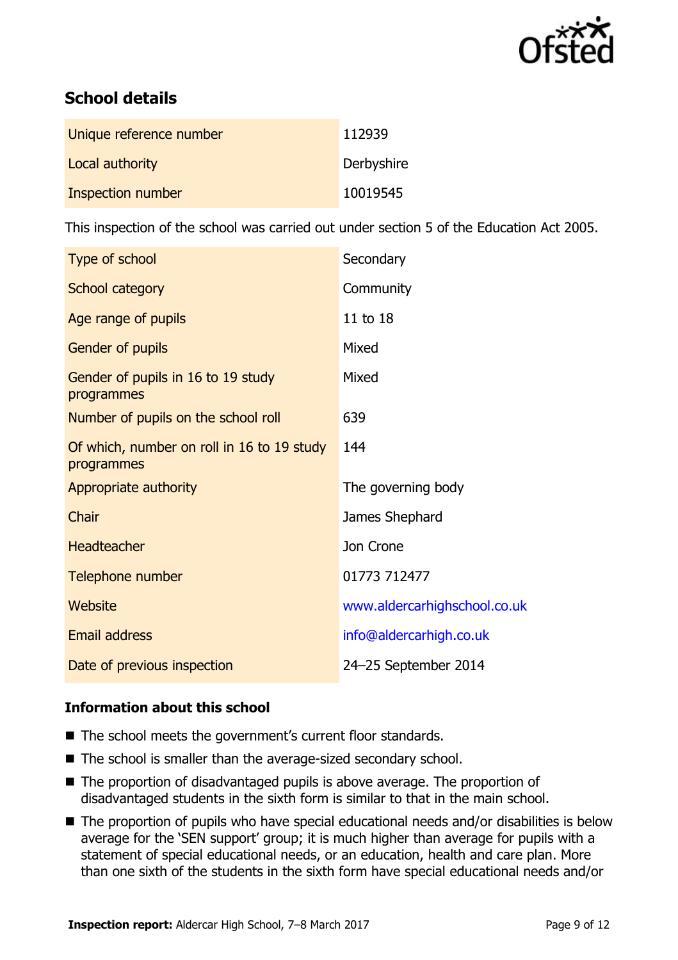

# **School details**

| Unique reference number | 112939     |
|-------------------------|------------|
| Local authority         | Derbyshire |
| Inspection number       | 10019545   |

This inspection of the school was carried out under section 5 of the Education Act 2005.

| Type of school                                           | Secondary                    |
|----------------------------------------------------------|------------------------------|
| School category                                          | Community                    |
| Age range of pupils                                      | 11 to 18                     |
| Gender of pupils                                         | Mixed                        |
| Gender of pupils in 16 to 19 study<br>programmes         | Mixed                        |
| Number of pupils on the school roll                      | 639                          |
| Of which, number on roll in 16 to 19 study<br>programmes | 144                          |
| Appropriate authority                                    | The governing body           |
| Chair                                                    | James Shephard               |
| <b>Headteacher</b>                                       | Jon Crone                    |
| Telephone number                                         | 01773 712477                 |
| Website                                                  | www.aldercarhighschool.co.uk |
| <b>Email address</b>                                     | info@aldercarhigh.co.uk      |
| Date of previous inspection                              | 24-25 September 2014         |

### **Information about this school**

- The school meets the government's current floor standards.
- The school is smaller than the average-sized secondary school.
- The proportion of disadvantaged pupils is above average. The proportion of disadvantaged students in the sixth form is similar to that in the main school.
- The proportion of pupils who have special educational needs and/or disabilities is below average for the 'SEN support' group; it is much higher than average for pupils with a statement of special educational needs, or an education, health and care plan. More than one sixth of the students in the sixth form have special educational needs and/or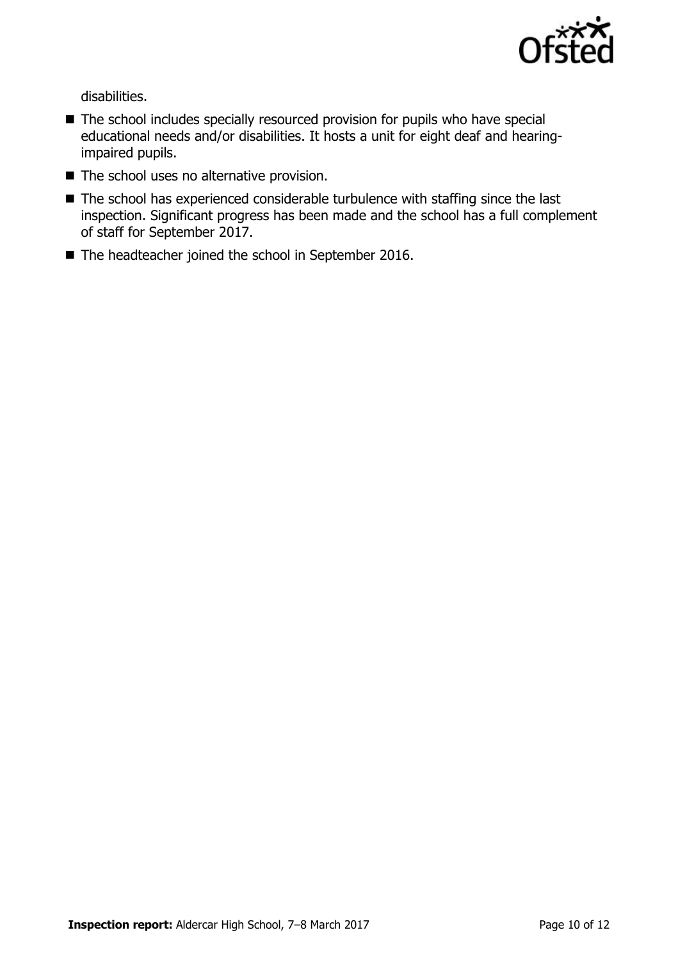

disabilities.

- The school includes specially resourced provision for pupils who have special educational needs and/or disabilities. It hosts a unit for eight deaf and hearingimpaired pupils.
- The school uses no alternative provision.
- The school has experienced considerable turbulence with staffing since the last inspection. Significant progress has been made and the school has a full complement of staff for September 2017.
- The headteacher joined the school in September 2016.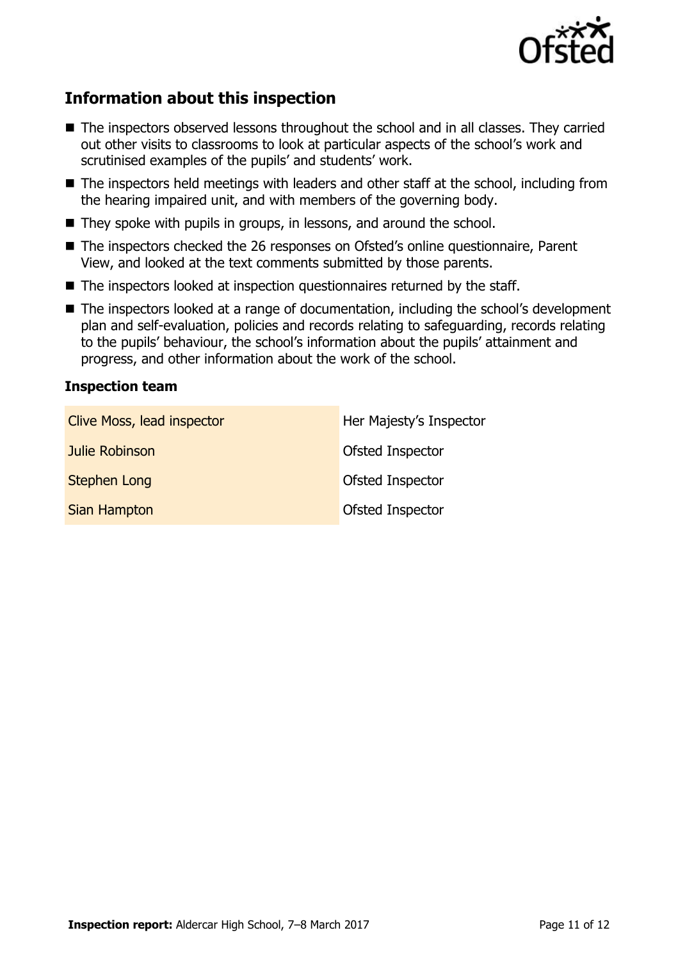

# **Information about this inspection**

- The inspectors observed lessons throughout the school and in all classes. They carried out other visits to classrooms to look at particular aspects of the school's work and scrutinised examples of the pupils' and students' work.
- The inspectors held meetings with leaders and other staff at the school, including from the hearing impaired unit, and with members of the governing body.
- They spoke with pupils in groups, in lessons, and around the school.
- The inspectors checked the 26 responses on Ofsted's online questionnaire, Parent View, and looked at the text comments submitted by those parents.
- The inspectors looked at inspection questionnaires returned by the staff.
- The inspectors looked at a range of documentation, including the school's development plan and self-evaluation, policies and records relating to safeguarding, records relating to the pupils' behaviour, the school's information about the pupils' attainment and progress, and other information about the work of the school.

### **Inspection team**

| Clive Moss, lead inspector | Her Majesty's Inspector |
|----------------------------|-------------------------|
| Julie Robinson             | Ofsted Inspector        |
| <b>Stephen Long</b>        | Ofsted Inspector        |
| <b>Sian Hampton</b>        | Ofsted Inspector        |